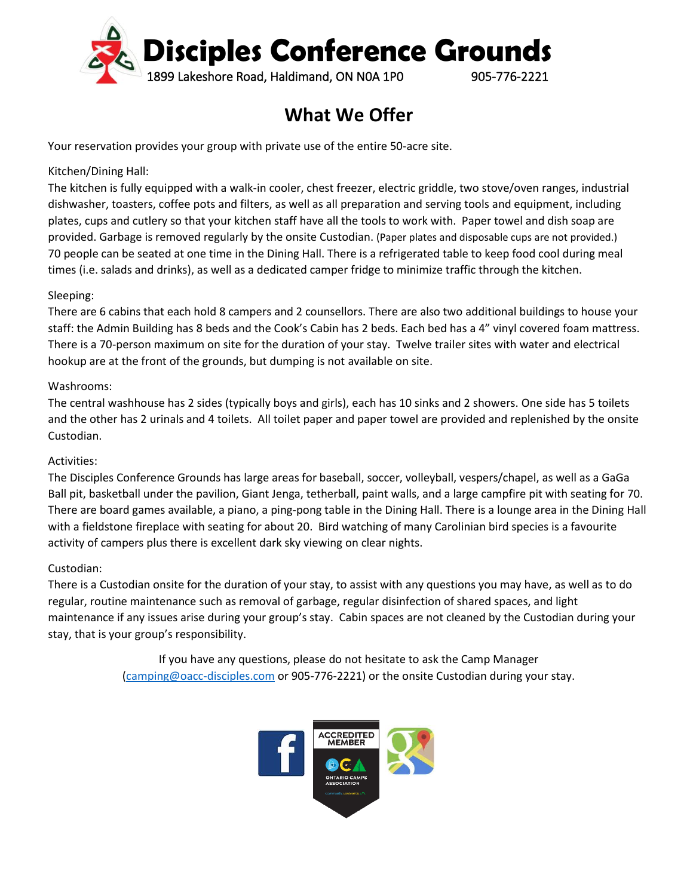

# **What We Offer**

Your reservation provides your group with private use of the entire 50-acre site.

#### Kitchen/Dining Hall:

The kitchen is fully equipped with a walk-in cooler, chest freezer, electric griddle, two stove/oven ranges, industrial dishwasher, toasters, coffee pots and filters, as well as all preparation and serving tools and equipment, including plates, cups and cutlery so that your kitchen staff have all the tools to work with. Paper towel and dish soap are provided. Garbage is removed regularly by the onsite Custodian. (Paper plates and disposable cups are not provided.) 70 people can be seated at one time in the Dining Hall. There is a refrigerated table to keep food cool during meal times (i.e. salads and drinks), as well as a dedicated camper fridge to minimize traffic through the kitchen.

#### Sleeping:

There are 6 cabins that each hold 8 campers and 2 counsellors. There are also two additional buildings to house your staff: the Admin Building has 8 beds and the Cook's Cabin has 2 beds. Each bed has a 4" vinyl covered foam mattress. There is a 70-person maximum on site for the duration of your stay. Twelve trailer sites with water and electrical hookup are at the front of the grounds, but dumping is not available on site.

#### Washrooms:

The central washhouse has 2 sides (typically boys and girls), each has 10 sinks and 2 showers. One side has 5 toilets and the other has 2 urinals and 4 toilets. All toilet paper and paper towel are provided and replenished by the onsite Custodian.

#### Activities:

The Disciples Conference Grounds has large areas for baseball, soccer, volleyball, vespers/chapel, as well as a GaGa Ball pit, basketball under the pavilion, Giant Jenga, tetherball, paint walls, and a large campfire pit with seating for 70. There are board games available, a piano, a ping-pong table in the Dining Hall. There is a lounge area in the Dining Hall with a fieldstone fireplace with seating for about 20. Bird watching of many Carolinian bird species is a favourite activity of campers plus there is excellent dark sky viewing on clear nights.

#### Custodian:

There is a Custodian onsite for the duration of your stay, to assist with any questions you may have, as well as to do regular, routine maintenance such as removal of garbage, regular disinfection of shared spaces, and light maintenance if any issues arise during your group's stay. Cabin spaces are not cleaned by the Custodian during your stay, that is your group's responsibility.

> If you have any questions, please do not hesitate to ask the Camp Manager [\(camping@oacc-disciples.com](mailto:camping@oacc-disciples.com) or 905-776-2221) or the onsite Custodian during your stay.